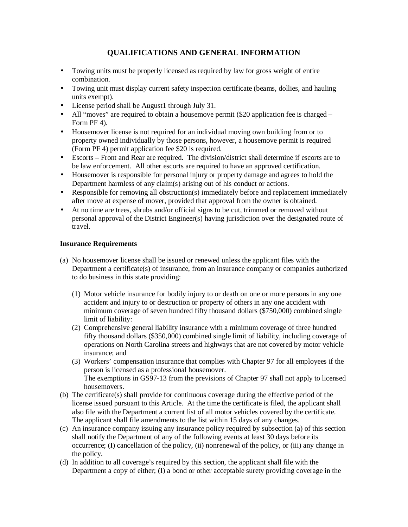## **QUALIFICATIONS AND GENERAL INFORMATION**

- Towing units must be properly licensed as required by law for gross weight of entire combination.
- Towing unit must display current safety inspection certificate (beams, dollies, and hauling units exempt).
- License period shall be August1 through July 31.
- All "moves" are required to obtain a housemove permit (\$20 application fee is charged Form PF 4).
- Housemover license is not required for an individual moving own building from or to property owned individually by those persons, however, a housemove permit is required (Form PF 4) permit application fee \$20 is required.
- Escorts Front and Rear are required. The division/district shall determine if escorts are to be law enforcement. All other escorts are required to have an approved certification.
- Housemover is responsible for personal injury or property damage and agrees to hold the Department harmless of any claim(s) arising out of his conduct or actions.
- Responsible for removing all obstruction(s) immediately before and replacement immediately after move at expense of mover, provided that approval from the owner is obtained.
- At no time are trees, shrubs and/or official signs to be cut, trimmed or removed without personal approval of the District Engineer(s) having jurisdiction over the designated route of travel.

## **Insurance Requirements**

- (a) No housemover license shall be issued or renewed unless the applicant files with the Department a certificate(s) of insurance, from an insurance company or companies authorized to do business in this state providing:
	- (1) Motor vehicle insurance for bodily injury to or death on one or more persons in any one accident and injury to or destruction or property of others in any one accident with minimum coverage of seven hundred fifty thousand dollars (\$750,000) combined single limit of liability:
	- (2) Comprehensive general liability insurance with a minimum coverage of three hundred fifty thousand dollars (\$350,000) combined single limit of liability, including coverage of operations on North Carolina streets and highways that are not covered by motor vehicle insurance; and
	- (3) Workers' compensation insurance that complies with Chapter 97 for all employees if the person is licensed as a professional housemover. The exemptions in GS97-13 from the previsions of Chapter 97 shall not apply to licensed housemovers.
- (b) The certificate(s) shall provide for continuous coverage during the effective period of the license issued pursuant to this Article. At the time the certificate is filed, the applicant shall also file with the Department a current list of all motor vehicles covered by the certificate. The applicant shall file amendments to the list within 15 days of any changes.
- (c) An insurance company issuing any insurance policy required by subsection (a) of this section shall notify the Department of any of the following events at least 30 days before its occurrence; (I) cancellation of the policy, (ii) nonrenewal of the policy, or (iii) any change in the policy.
- (d) In addition to all coverage's required by this section, the applicant shall file with the Department a copy of either; (I) a bond or other acceptable surety providing coverage in the